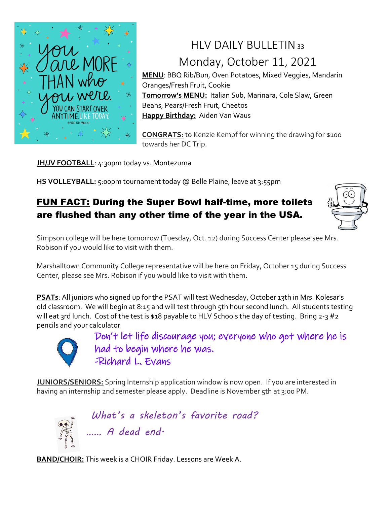

# $HIV$  DAILY BULLETIN 33 Monday, October 11, 2021

**MENU**: BBQ Rib/Bun, Oven Potatoes, Mixed Veggies, Mandarin Oranges/Fresh Fruit, Cookie **Tomorrow's MENU:** Italian Sub, Marinara, Cole Slaw, Green Beans, Pears/Fresh Fruit, Cheetos **Happy Birthday:** Aiden Van Waus

**CONGRATS:** to Kenzie Kempf for winning the drawing for \$100 towards her DC Trip.

**JH/JV FOOTBALL: 4:30pm today vs. Montezuma** 

**HS VOLLEYBALL:** 5:00pm tournament today @ Belle Plaine, leave at 3:55pm

### FUN FACT: During the Super Bowl half-time, more toilets are flushed than any other time of the year in the USA.



Simpson college will be here tomorrow (Tuesday, Oct. 12) during Success Center please see Mrs. Robison if you would like to visit with them.

Marshalltown Community College representative will be here on Friday, October 15 during Success Center, please see Mrs. Robison if you would like to visit with them.

**PSATs**: All juniors who signed up for the PSAT will test Wednesday, October 13th in Mrs. Kolesar's old classroom. We will begin at 8:15 and will test through 5th hour second lunch. All students testing will eat 3rd lunch. Cost of the test is \$18 payable to HLV Schools the day of testing. Bring 2-3 #2 pencils and your calculator



Don't let life discourage you; everyone who got where he is had to begin where he was. -Richard L. Evans

**JUNIORS/SENIORS:** Spring Internship application window is now open. If you are interested in having an internship 2nd semester please apply. Deadline is November 5th at 3:00 PM.



*What's a skeleton's favorite road? …… A dead end.* 

**BAND/CHOIR:** This week is a CHOIR Friday. Lessons are Week A.